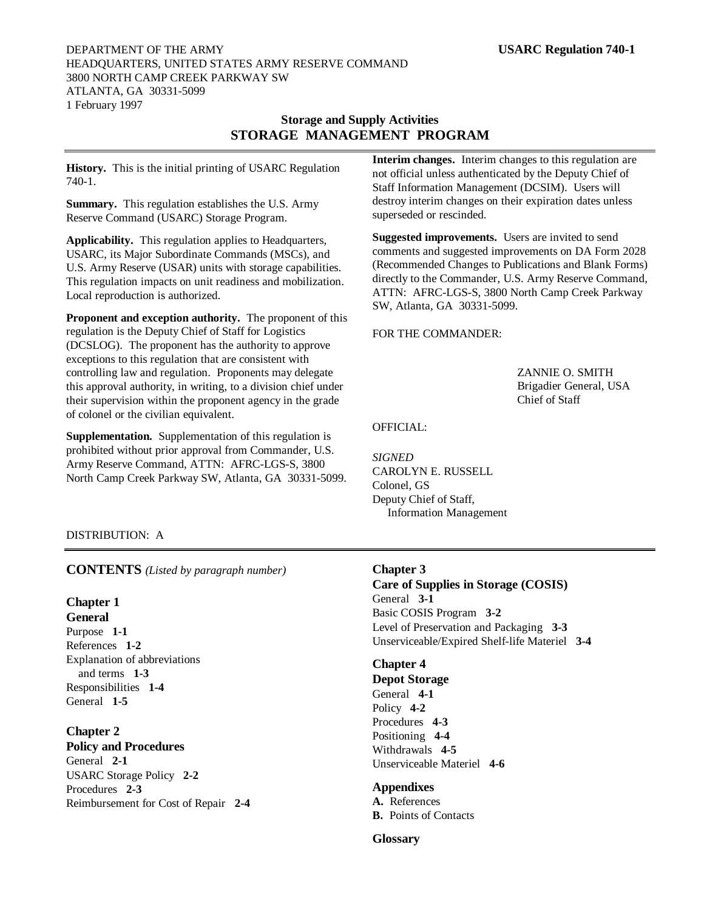## DEPARTMENT OF THE ARMY **USARC Regulation 740-1** HEADQUARTERS, UNITED STATES ARMY RESERVE COMMAND 3800 NORTH CAMP CREEK PARKWAY SW ATLANTA, GA 30331-5099 1 February 1997

# **Storage and Supply Activities STORAGE MANAGEMENT PROGRAM**

**History.** This is the initial printing of USARC Regulation 740-1.

**Summary.** This regulation establishes the U.S. Army Reserve Command (USARC) Storage Program.

**Applicability.** This regulation applies to Headquarters, USARC, its Major Subordinate Commands (MSCs), and U.S. Army Reserve (USAR) units with storage capabilities. This regulation impacts on unit readiness and mobilization. Local reproduction is authorized.

**Proponent and exception authority.** The proponent of this regulation is the Deputy Chief of Staff for Logistics (DCSLOG). The proponent has the authority to approve exceptions to this regulation that are consistent with controlling law and regulation. Proponents may delegate this approval authority, in writing, to a division chief under their supervision within the proponent agency in the grade of colonel or the civilian equivalent.

**Supplementation.** Supplementation of this regulation is prohibited without prior approval from Commander, U.S. Army Reserve Command, ATTN: AFRC-LGS-S, 3800 North Camp Creek Parkway SW, Atlanta, GA 30331-5099. **Interim changes.** Interim changes to this regulation are not official unless authenticated by the Deputy Chief of Staff Information Management (DCSIM). Users will destroy interim changes on their expiration dates unless superseded or rescinded.

**Suggested improvements.** Users are invited to send comments and suggested improvements on DA Form 2028 (Recommended Changes to Publications and Blank Forms) directly to the Commander, U.S. Army Reserve Command, ATTN: AFRC-LGS-S, 3800 North Camp Creek Parkway SW, Atlanta, GA 30331-5099.

## FOR THE COMMANDER:

ZANNIE O. SMITH Brigadier General, USA Chief of Staff

# OFFICIAL:

*SIGNED* CAROLYN E. RUSSELL Colonel, GS Deputy Chief of Staff, Information Management

# DISTRIBUTION: A

**CONTENTS** *(Listed by paragraph number)*

# **Chapter 1**

**General** Purpose **1-1** References **1-2** Explanation of abbreviations and terms **1-3** Responsibilities **1-4** General **1-5**

**Chapter 2 Policy and Procedures** General **2-1** USARC Storage Policy **2-2** Procedures **2-3** Reimbursement for Cost of Repair **2-4**

# **Chapter 3**

**Care of Supplies in Storage (COSIS)** General **3-1** Basic COSIS Program **3-2** Level of Preservation and Packaging **3-3** Unserviceable/Expired Shelf-life Materiel **3-4**

# **Chapter 4**

**Depot Storage** General **4-1** Policy **4-2** Procedures **4-3** Positioning **4-4** Withdrawals **4-5** Unserviceable Materiel **4-6**

# **Appendixes**

**A.** References **B.** Points of Contacts

# **Glossary**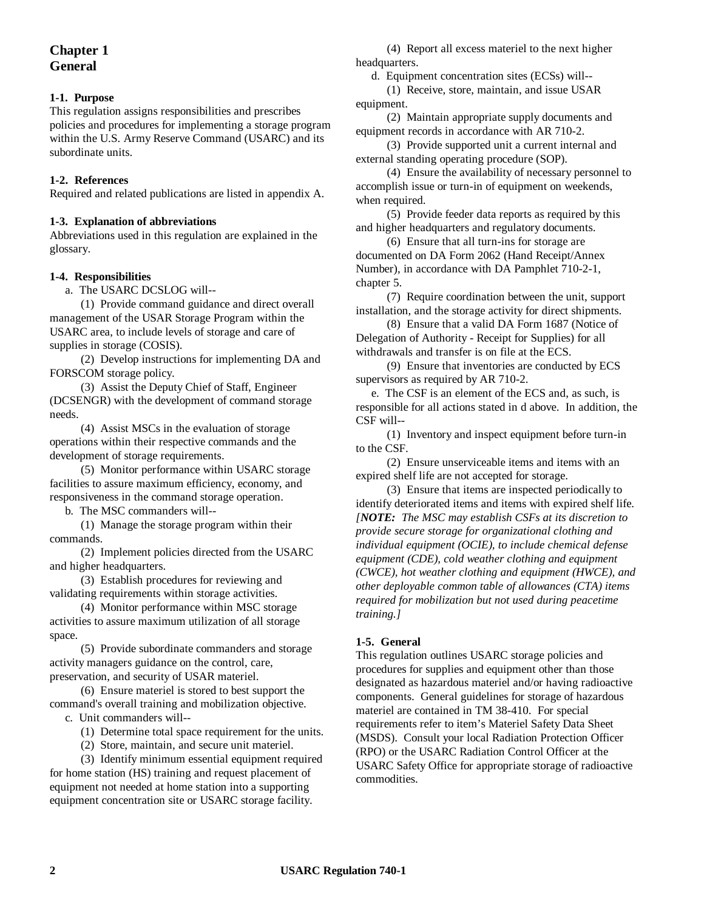# **Chapter 1 General**

# **1-1. Purpose**

This regulation assigns responsibilities and prescribes policies and procedures for implementing a storage program within the U.S. Army Reserve Command (USARC) and its subordinate units.

# **1-2. References**

Required and related publications are listed in appendix A.

### **1-3. Explanation of abbreviations**

Abbreviations used in this regulation are explained in the glossary.

## **1-4. Responsibilities**

a. The USARC DCSLOG will--

(1) Provide command guidance and direct overall management of the USAR Storage Program within the USARC area, to include levels of storage and care of supplies in storage (COSIS).

(2) Develop instructions for implementing DA and FORSCOM storage policy.

(3) Assist the Deputy Chief of Staff, Engineer (DCSENGR) with the development of command storage needs.

(4) Assist MSCs in the evaluation of storage operations within their respective commands and the development of storage requirements.

(5) Monitor performance within USARC storage facilities to assure maximum efficiency, economy, and responsiveness in the command storage operation.

b. The MSC commanders will--

(1) Manage the storage program within their commands.

(2) Implement policies directed from the USARC and higher headquarters.

(3) Establish procedures for reviewing and validating requirements within storage activities.

(4) Monitor performance within MSC storage activities to assure maximum utilization of all storage space.

(5) Provide subordinate commanders and storage activity managers guidance on the control, care, preservation, and security of USAR materiel.

(6) Ensure materiel is stored to best support the command's overall training and mobilization objective.

c. Unit commanders will--

(1) Determine total space requirement for the units.

(2) Store, maintain, and secure unit materiel.

(3) Identify minimum essential equipment required for home station (HS) training and request placement of equipment not needed at home station into a supporting equipment concentration site or USARC storage facility.

(4) Report all excess materiel to the next higher headquarters.

d. Equipment concentration sites (ECSs) will--

(1) Receive, store, maintain, and issue USAR equipment.

(2) Maintain appropriate supply documents and equipment records in accordance with AR 710-2.

(3) Provide supported unit a current internal and external standing operating procedure (SOP).

(4) Ensure the availability of necessary personnel to accomplish issue or turn-in of equipment on weekends, when required.

(5) Provide feeder data reports as required by this and higher headquarters and regulatory documents.

(6) Ensure that all turn-ins for storage are documented on DA Form 2062 (Hand Receipt/Annex Number), in accordance with DA Pamphlet 710-2-1, chapter 5.

(7) Require coordination between the unit, support installation, and the storage activity for direct shipments.

(8) Ensure that a valid DA Form 1687 (Notice of Delegation of Authority - Receipt for Supplies) for all withdrawals and transfer is on file at the ECS.

(9) Ensure that inventories are conducted by ECS supervisors as required by AR 710-2.

e. The CSF is an element of the ECS and, as such, is responsible for all actions stated in d above. In addition, the CSF will--

(1) Inventory and inspect equipment before turn-in to the CSF.

(2) Ensure unserviceable items and items with an expired shelf life are not accepted for storage.

(3) Ensure that items are inspected periodically to identify deteriorated items and items with expired shelf life. *[NOTE: The MSC may establish CSFs at its discretion to provide secure storage for organizational clothing and individual equipment (OCIE), to include chemical defense equipment (CDE), cold weather clothing and equipment (CWCE), hot weather clothing and equipment (HWCE), and other deployable common table of allowances (CTA) items required for mobilization but not used during peacetime training.]*

# **1-5. General**

This regulation outlines USARC storage policies and procedures for supplies and equipment other than those designated as hazardous materiel and/or having radioactive components. General guidelines for storage of hazardous materiel are contained in TM 38-410. For special requirements refer to item's Materiel Safety Data Sheet (MSDS). Consult your local Radiation Protection Officer (RPO) or the USARC Radiation Control Officer at the USARC Safety Office for appropriate storage of radioactive commodities.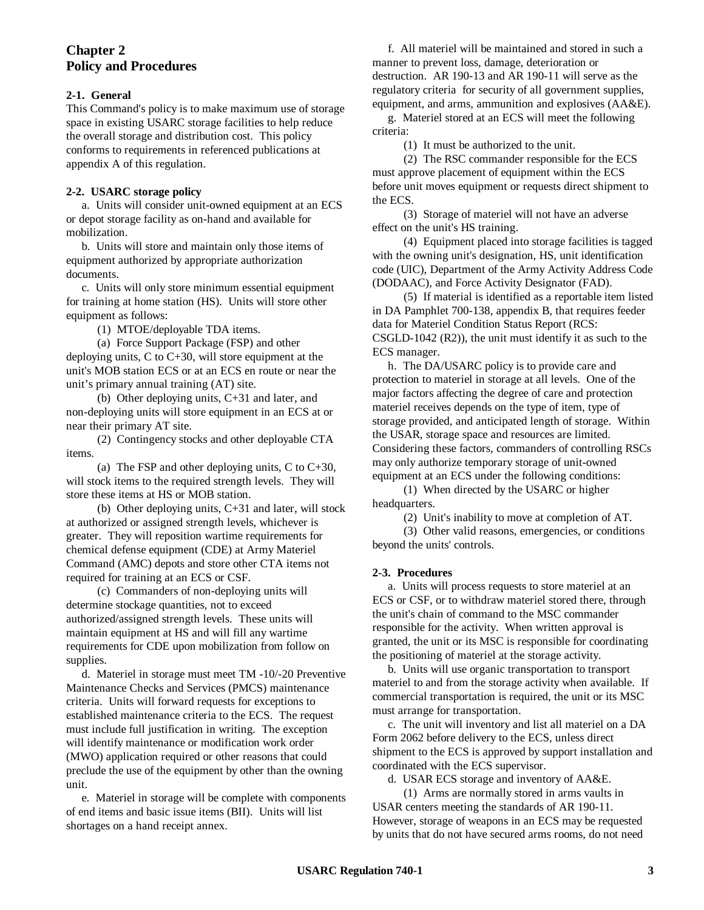# **Chapter 2 Policy and Procedures**

# **2-1. General**

This Command's policy is to make maximum use of storage space in existing USARC storage facilities to help reduce the overall storage and distribution cost. This policy conforms to requirements in referenced publications at appendix A of this regulation.

## **2-2. USARC storage policy**

a. Units will consider unit-owned equipment at an ECS or depot storage facility as on-hand and available for mobilization.

b. Units will store and maintain only those items of equipment authorized by appropriate authorization documents.

c. Units will only store minimum essential equipment for training at home station (HS). Units will store other equipment as follows:

(1) MTOE/deployable TDA items.

(a) Force Support Package (FSP) and other deploying units, C to C+30, will store equipment at the unit's MOB station ECS or at an ECS en route or near the unit's primary annual training (AT) site.

(b) Other deploying units, C+31 and later, and non-deploying units will store equipment in an ECS at or near their primary AT site.

(2) Contingency stocks and other deployable CTA items.

(a) The FSP and other deploying units, C to  $C+30$ , will stock items to the required strength levels. They will store these items at HS or MOB station.

(b) Other deploying units, C+31 and later, will stock at authorized or assigned strength levels, whichever is greater. They will reposition wartime requirements for chemical defense equipment (CDE) at Army Materiel Command (AMC) depots and store other CTA items not required for training at an ECS or CSF.

(c) Commanders of non-deploying units will determine stockage quantities, not to exceed authorized/assigned strength levels. These units will maintain equipment at HS and will fill any wartime requirements for CDE upon mobilization from follow on supplies.

d. Materiel in storage must meet TM -10/-20 Preventive Maintenance Checks and Services (PMCS) maintenance criteria. Units will forward requests for exceptions to established maintenance criteria to the ECS. The request must include full justification in writing. The exception will identify maintenance or modification work order (MWO) application required or other reasons that could preclude the use of the equipment by other than the owning unit.

e. Materiel in storage will be complete with components of end items and basic issue items (BII). Units will list shortages on a hand receipt annex.

f. All materiel will be maintained and stored in such a manner to prevent loss, damage, deterioration or destruction. AR 190-13 and AR 190-11 will serve as the regulatory criteria for security of all government supplies, equipment, and arms, ammunition and explosives (AA&E).

g. Materiel stored at an ECS will meet the following criteria:

(1) It must be authorized to the unit.

(2) The RSC commander responsible for the ECS must approve placement of equipment within the ECS before unit moves equipment or requests direct shipment to the ECS.

(3) Storage of materiel will not have an adverse effect on the unit's HS training.

(4) Equipment placed into storage facilities is tagged with the owning unit's designation, HS, unit identification code (UIC), Department of the Army Activity Address Code (DODAAC), and Force Activity Designator (FAD).

(5) If material is identified as a reportable item listed in DA Pamphlet 700-138, appendix B, that requires feeder data for Materiel Condition Status Report (RCS: CSGLD-1042 (R2)), the unit must identify it as such to the ECS manager.

h. The DA/USARC policy is to provide care and protection to materiel in storage at all levels. One of the major factors affecting the degree of care and protection materiel receives depends on the type of item, type of storage provided, and anticipated length of storage. Within the USAR, storage space and resources are limited. Considering these factors, commanders of controlling RSCs may only authorize temporary storage of unit-owned equipment at an ECS under the following conditions:

(1) When directed by the USARC or higher headquarters.

(2) Unit's inability to move at completion of AT.

(3) Other valid reasons, emergencies, or conditions beyond the units' controls.

## **2-3. Procedures**

a. Units will process requests to store materiel at an ECS or CSF, or to withdraw materiel stored there, through the unit's chain of command to the MSC commander responsible for the activity. When written approval is granted, the unit or its MSC is responsible for coordinating the positioning of materiel at the storage activity.

b. Units will use organic transportation to transport materiel to and from the storage activity when available. If commercial transportation is required, the unit or its MSC must arrange for transportation.

c. The unit will inventory and list all materiel on a DA Form 2062 before delivery to the ECS, unless direct shipment to the ECS is approved by support installation and coordinated with the ECS supervisor.

d. USAR ECS storage and inventory of AA&E.

(1) Arms are normally stored in arms vaults in USAR centers meeting the standards of AR 190-11. However, storage of weapons in an ECS may be requested by units that do not have secured arms rooms, do not need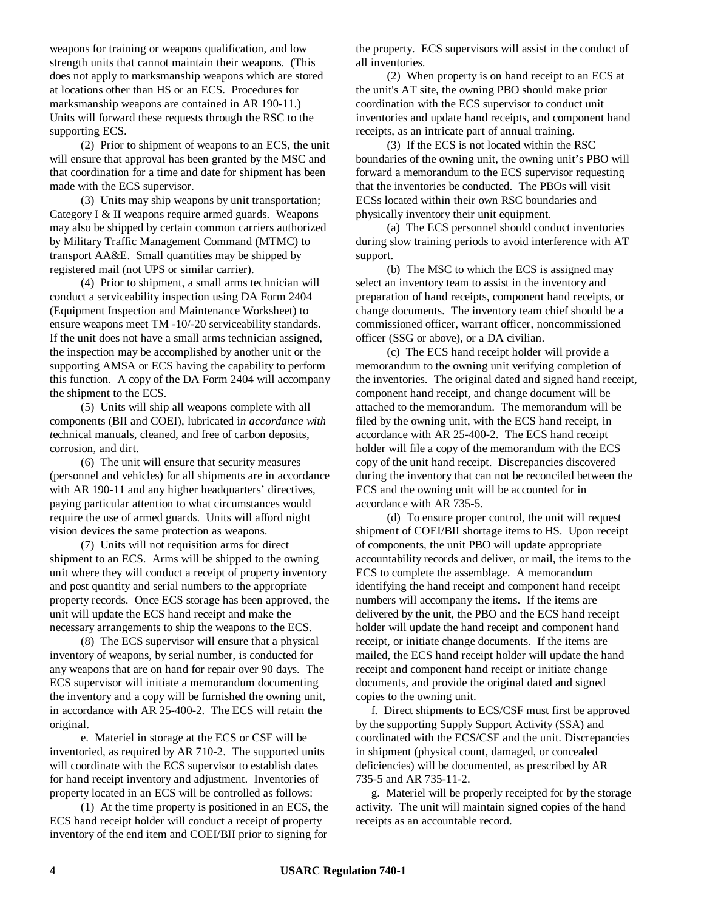weapons for training or weapons qualification, and low strength units that cannot maintain their weapons. (This does not apply to marksmanship weapons which are stored at locations other than HS or an ECS. Procedures for marksmanship weapons are contained in AR 190-11.) Units will forward these requests through the RSC to the supporting ECS.

(2) Prior to shipment of weapons to an ECS, the unit will ensure that approval has been granted by the MSC and that coordination for a time and date for shipment has been made with the ECS supervisor.

(3) Units may ship weapons by unit transportation; Category I & II weapons require armed guards. Weapons may also be shipped by certain common carriers authorized by Military Traffic Management Command (MTMC) to transport AA&E. Small quantities may be shipped by registered mail (not UPS or similar carrier).

(4) Prior to shipment, a small arms technician will conduct a serviceability inspection using DA Form 2404 (Equipment Inspection and Maintenance Worksheet) to ensure weapons meet TM -10/-20 serviceability standards. If the unit does not have a small arms technician assigned, the inspection may be accomplished by another unit or the supporting AMSA or ECS having the capability to perform this function. A copy of the DA Form 2404 will accompany the shipment to the ECS.

(5) Units will ship all weapons complete with all components (BII and COEI), lubricated i*n accordance with t*echnical manuals, cleaned, and free of carbon deposits, corrosion, and dirt.

(6) The unit will ensure that security measures (personnel and vehicles) for all shipments are in accordance with AR 190-11 and any higher headquarters' directives, paying particular attention to what circumstances would require the use of armed guards. Units will afford night vision devices the same protection as weapons.

(7) Units will not requisition arms for direct shipment to an ECS. Arms will be shipped to the owning unit where they will conduct a receipt of property inventory and post quantity and serial numbers to the appropriate property records. Once ECS storage has been approved, the unit will update the ECS hand receipt and make the necessary arrangements to ship the weapons to the ECS.

(8) The ECS supervisor will ensure that a physical inventory of weapons, by serial number, is conducted for any weapons that are on hand for repair over 90 days. The ECS supervisor will initiate a memorandum documenting the inventory and a copy will be furnished the owning unit, in accordance with AR 25-400-2. The ECS will retain the original.

e. Materiel in storage at the ECS or CSF will be inventoried, as required by AR 710-2. The supported units will coordinate with the ECS supervisor to establish dates for hand receipt inventory and adjustment. Inventories of property located in an ECS will be controlled as follows:

(1) At the time property is positioned in an ECS, the ECS hand receipt holder will conduct a receipt of property inventory of the end item and COEI/BII prior to signing for

the property. ECS supervisors will assist in the conduct of all inventories.

(2) When property is on hand receipt to an ECS at the unit's AT site, the owning PBO should make prior coordination with the ECS supervisor to conduct unit inventories and update hand receipts, and component hand receipts, as an intricate part of annual training.

(3) If the ECS is not located within the RSC boundaries of the owning unit, the owning unit's PBO will forward a memorandum to the ECS supervisor requesting that the inventories be conducted. The PBOs will visit ECSs located within their own RSC boundaries and physically inventory their unit equipment.

(a) The ECS personnel should conduct inventories during slow training periods to avoid interference with AT support.

(b) The MSC to which the ECS is assigned may select an inventory team to assist in the inventory and preparation of hand receipts, component hand receipts, or change documents. The inventory team chief should be a commissioned officer, warrant officer, noncommissioned officer (SSG or above), or a DA civilian.

(c) The ECS hand receipt holder will provide a memorandum to the owning unit verifying completion of the inventories. The original dated and signed hand receipt, component hand receipt, and change document will be attached to the memorandum. The memorandum will be filed by the owning unit, with the ECS hand receipt, in accordance with AR 25-400-2. The ECS hand receipt holder will file a copy of the memorandum with the ECS copy of the unit hand receipt. Discrepancies discovered during the inventory that can not be reconciled between the ECS and the owning unit will be accounted for in accordance with AR 735-5.

(d) To ensure proper control, the unit will request shipment of COEI/BII shortage items to HS. Upon receipt of components, the unit PBO will update appropriate accountability records and deliver, or mail, the items to the ECS to complete the assemblage. A memorandum identifying the hand receipt and component hand receipt numbers will accompany the items. If the items are delivered by the unit, the PBO and the ECS hand receipt holder will update the hand receipt and component hand receipt, or initiate change documents. If the items are mailed, the ECS hand receipt holder will update the hand receipt and component hand receipt or initiate change documents, and provide the original dated and signed copies to the owning unit.

f. Direct shipments to ECS/CSF must first be approved by the supporting Supply Support Activity (SSA) and coordinated with the ECS/CSF and the unit. Discrepancies in shipment (physical count, damaged, or concealed deficiencies) will be documented, as prescribed by AR 735-5 and AR 735-11-2.

g. Materiel will be properly receipted for by the storage activity. The unit will maintain signed copies of the hand receipts as an accountable record.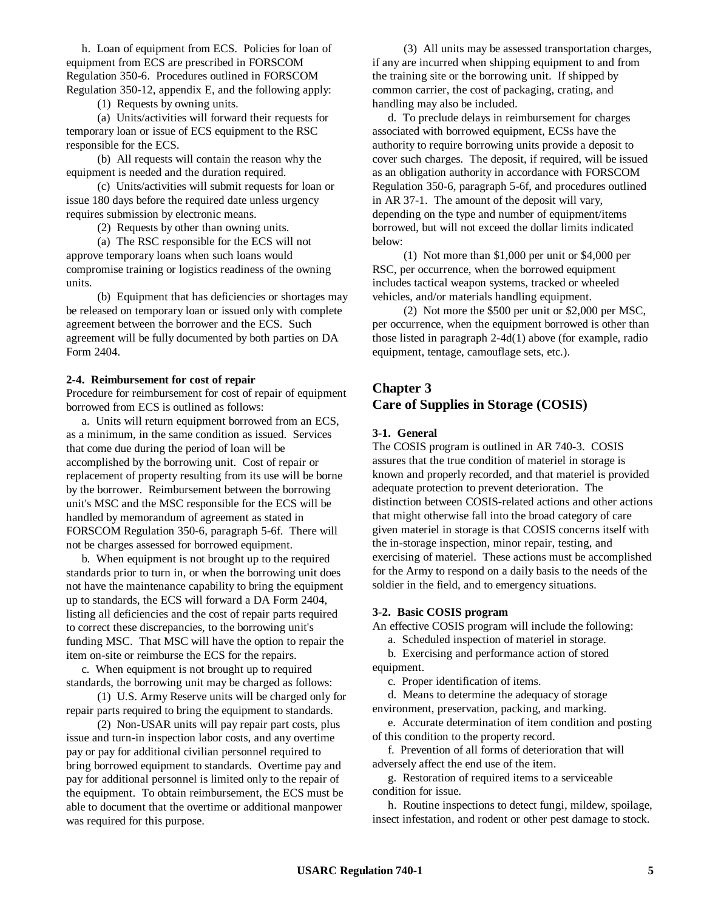h. Loan of equipment from ECS. Policies for loan of equipment from ECS are prescribed in FORSCOM Regulation 350-6. Procedures outlined in FORSCOM Regulation 350-12, appendix E, and the following apply:

(1) Requests by owning units.

(a) Units/activities will forward their requests for temporary loan or issue of ECS equipment to the RSC responsible for the ECS.

(b) All requests will contain the reason why the equipment is needed and the duration required.

(c) Units/activities will submit requests for loan or issue 180 days before the required date unless urgency requires submission by electronic means.

(2) Requests by other than owning units.

(a) The RSC responsible for the ECS will not approve temporary loans when such loans would compromise training or logistics readiness of the owning units.

(b) Equipment that has deficiencies or shortages may be released on temporary loan or issued only with complete agreement between the borrower and the ECS. Such agreement will be fully documented by both parties on DA Form 2404.

### **2-4. Reimbursement for cost of repair**

Procedure for reimbursement for cost of repair of equipment borrowed from ECS is outlined as follows:

a. Units will return equipment borrowed from an ECS, as a minimum, in the same condition as issued. Services that come due during the period of loan will be accomplished by the borrowing unit. Cost of repair or replacement of property resulting from its use will be borne by the borrower. Reimbursement between the borrowing unit's MSC and the MSC responsible for the ECS will be handled by memorandum of agreement as stated in FORSCOM Regulation 350-6, paragraph 5-6f. There will not be charges assessed for borrowed equipment.

b. When equipment is not brought up to the required standards prior to turn in, or when the borrowing unit does not have the maintenance capability to bring the equipment up to standards, the ECS will forward a DA Form 2404, listing all deficiencies and the cost of repair parts required to correct these discrepancies, to the borrowing unit's funding MSC. That MSC will have the option to repair the item on-site or reimburse the ECS for the repairs.

c. When equipment is not brought up to required standards, the borrowing unit may be charged as follows:

(1) U.S. Army Reserve units will be charged only for repair parts required to bring the equipment to standards.

(2) Non-USAR units will pay repair part costs, plus issue and turn-in inspection labor costs, and any overtime pay or pay for additional civilian personnel required to bring borrowed equipment to standards. Overtime pay and pay for additional personnel is limited only to the repair of the equipment. To obtain reimbursement, the ECS must be able to document that the overtime or additional manpower was required for this purpose.

(3) All units may be assessed transportation charges, if any are incurred when shipping equipment to and from the training site or the borrowing unit. If shipped by common carrier, the cost of packaging, crating, and handling may also be included.

d. To preclude delays in reimbursement for charges associated with borrowed equipment, ECSs have the authority to require borrowing units provide a deposit to cover such charges. The deposit, if required, will be issued as an obligation authority in accordance with FORSCOM Regulation 350-6, paragraph 5-6f, and procedures outlined in AR 37-1. The amount of the deposit will vary, depending on the type and number of equipment/items borrowed, but will not exceed the dollar limits indicated below:

(1) Not more than \$1,000 per unit or \$4,000 per RSC, per occurrence, when the borrowed equipment includes tactical weapon systems, tracked or wheeled vehicles, and/or materials handling equipment.

(2) Not more the \$500 per unit or \$2,000 per MSC, per occurrence, when the equipment borrowed is other than those listed in paragraph 2-4d(1) above (for example, radio equipment, tentage, camouflage sets, etc.).

# **Chapter 3 Care of Supplies in Storage (COSIS)**

#### **3-1. General**

The COSIS program is outlined in AR 740-3. COSIS assures that the true condition of materiel in storage is known and properly recorded, and that materiel is provided adequate protection to prevent deterioration. The distinction between COSIS-related actions and other actions that might otherwise fall into the broad category of care given materiel in storage is that COSIS concerns itself with the in-storage inspection, minor repair, testing, and exercising of materiel. These actions must be accomplished for the Army to respond on a daily basis to the needs of the soldier in the field, and to emergency situations.

#### **3-2. Basic COSIS program**

An effective COSIS program will include the following:

a. Scheduled inspection of materiel in storage.

b. Exercising and performance action of stored equipment.

c. Proper identification of items.

d. Means to determine the adequacy of storage environment, preservation, packing, and marking.

e. Accurate determination of item condition and posting of this condition to the property record.

f. Prevention of all forms of deterioration that will adversely affect the end use of the item.

g. Restoration of required items to a serviceable condition for issue.

h. Routine inspections to detect fungi, mildew, spoilage, insect infestation, and rodent or other pest damage to stock.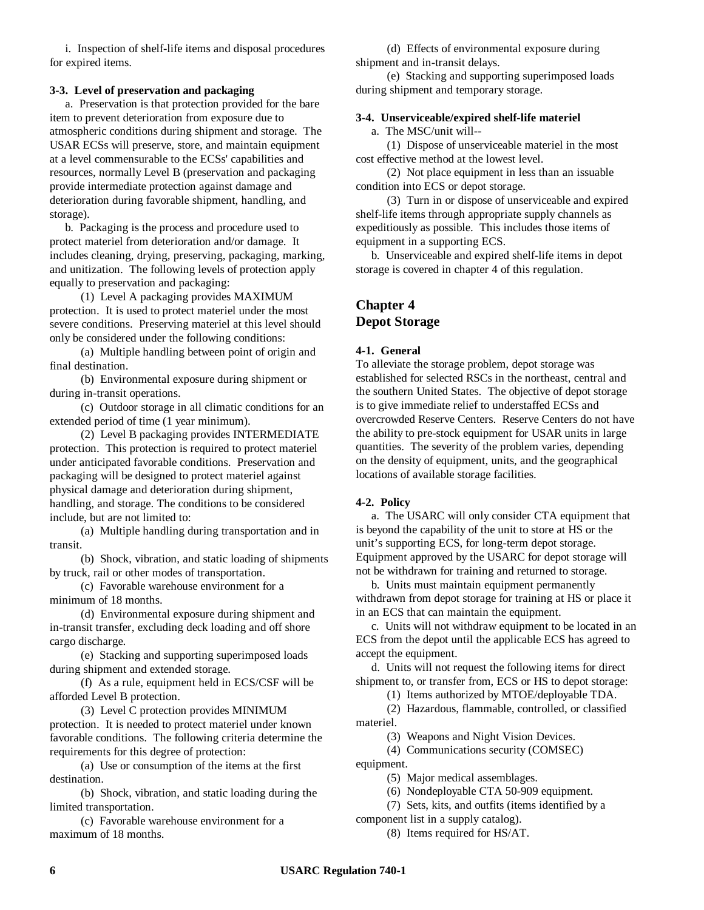i. Inspection of shelf-life items and disposal procedures for expired items.

### **3-3. Level of preservation and packaging**

a. Preservation is that protection provided for the bare item to prevent deterioration from exposure due to atmospheric conditions during shipment and storage. The USAR ECSs will preserve, store, and maintain equipment at a level commensurable to the ECSs' capabilities and resources, normally Level B (preservation and packaging provide intermediate protection against damage and deterioration during favorable shipment, handling, and storage).

b. Packaging is the process and procedure used to protect materiel from deterioration and/or damage. It includes cleaning, drying, preserving, packaging, marking, and unitization. The following levels of protection apply equally to preservation and packaging:

(1) Level A packaging provides MAXIMUM protection. It is used to protect materiel under the most severe conditions. Preserving materiel at this level should only be considered under the following conditions:

(a) Multiple handling between point of origin and final destination.

(b) Environmental exposure during shipment or during in-transit operations.

(c) Outdoor storage in all climatic conditions for an extended period of time (1 year minimum).

(2) Level B packaging provides INTERMEDIATE protection. This protection is required to protect materiel under anticipated favorable conditions. Preservation and packaging will be designed to protect materiel against physical damage and deterioration during shipment, handling, and storage. The conditions to be considered include, but are not limited to:

(a) Multiple handling during transportation and in transit.

(b) Shock, vibration, and static loading of shipments by truck, rail or other modes of transportation.

(c) Favorable warehouse environment for a minimum of 18 months.

(d) Environmental exposure during shipment and in-transit transfer, excluding deck loading and off shore cargo discharge.

(e) Stacking and supporting superimposed loads during shipment and extended storage.

(f) As a rule, equipment held in ECS/CSF will be afforded Level B protection.

(3) Level C protection provides MINIMUM protection. It is needed to protect materiel under known favorable conditions. The following criteria determine the requirements for this degree of protection:

(a) Use or consumption of the items at the first destination.

(b) Shock, vibration, and static loading during the limited transportation.

(c) Favorable warehouse environment for a maximum of 18 months.

(d) Effects of environmental exposure during shipment and in-transit delays.

(e) Stacking and supporting superimposed loads during shipment and temporary storage.

## **3-4. Unserviceable/expired shelf-life materiel**

a. The MSC/unit will--

(1) Dispose of unserviceable materiel in the most cost effective method at the lowest level.

(2) Not place equipment in less than an issuable condition into ECS or depot storage.

(3) Turn in or dispose of unserviceable and expired shelf-life items through appropriate supply channels as expeditiously as possible. This includes those items of equipment in a supporting ECS.

b. Unserviceable and expired shelf-life items in depot storage is covered in chapter 4 of this regulation.

# **Chapter 4 Depot Storage**

## **4-1. General**

To alleviate the storage problem, depot storage was established for selected RSCs in the northeast, central and the southern United States. The objective of depot storage is to give immediate relief to understaffed ECSs and overcrowded Reserve Centers. Reserve Centers do not have the ability to pre-stock equipment for USAR units in large quantities. The severity of the problem varies, depending on the density of equipment, units, and the geographical locations of available storage facilities.

## **4-2. Policy**

a. The USARC will only consider CTA equipment that is beyond the capability of the unit to store at HS or the unit's supporting ECS, for long-term depot storage. Equipment approved by the USARC for depot storage will not be withdrawn for training and returned to storage.

b. Units must maintain equipment permanently withdrawn from depot storage for training at HS or place it in an ECS that can maintain the equipment.

c. Units will not withdraw equipment to be located in an ECS from the depot until the applicable ECS has agreed to accept the equipment.

d. Units will not request the following items for direct shipment to, or transfer from, ECS or HS to depot storage:

(1) Items authorized by MTOE/deployable TDA.

(2) Hazardous, flammable, controlled, or classified materiel.

(3) Weapons and Night Vision Devices.

(4) Communications security (COMSEC)

equipment.

(5) Major medical assemblages.

(6) Nondeployable CTA 50-909 equipment.

(7) Sets, kits, and outfits (items identified by a component list in a supply catalog).

(8) Items required for HS/AT.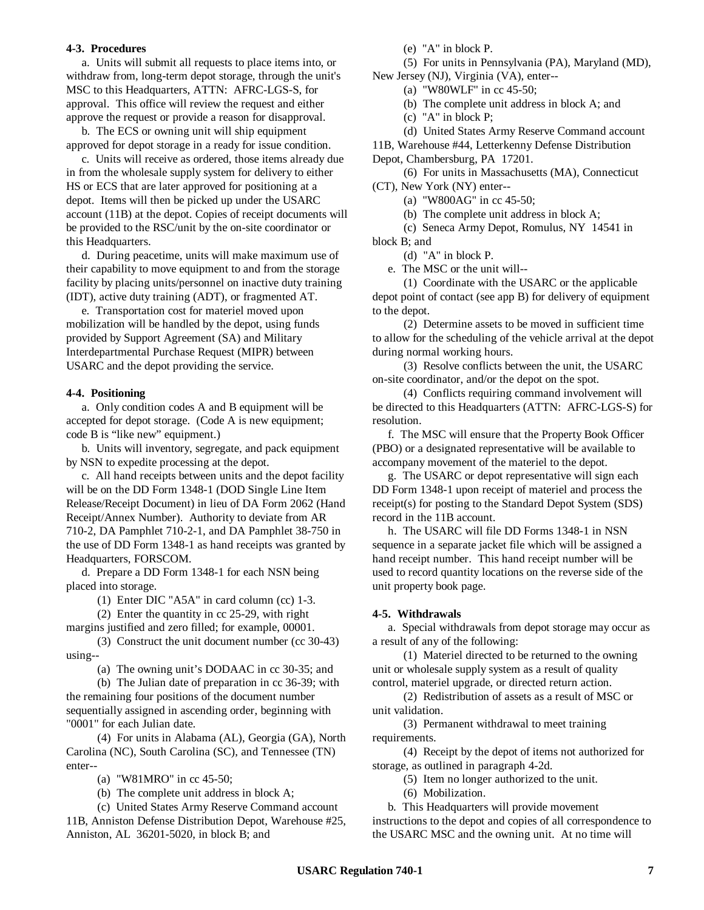#### **4-3. Procedures**

a. Units will submit all requests to place items into, or withdraw from, long-term depot storage, through the unit's MSC to this Headquarters, ATTN: AFRC-LGS-S, for approval. This office will review the request and either approve the request or provide a reason for disapproval.

b. The ECS or owning unit will ship equipment approved for depot storage in a ready for issue condition.

c. Units will receive as ordered, those items already due in from the wholesale supply system for delivery to either HS or ECS that are later approved for positioning at a depot. Items will then be picked up under the USARC account (11B) at the depot. Copies of receipt documents will be provided to the RSC/unit by the on-site coordinator or this Headquarters.

d. During peacetime, units will make maximum use of their capability to move equipment to and from the storage facility by placing units/personnel on inactive duty training (IDT), active duty training (ADT), or fragmented AT.

e. Transportation cost for materiel moved upon mobilization will be handled by the depot, using funds provided by Support Agreement (SA) and Military Interdepartmental Purchase Request (MIPR) between USARC and the depot providing the service.

#### **4-4. Positioning**

a. Only condition codes A and B equipment will be accepted for depot storage. (Code A is new equipment; code B is "like new" equipment.)

b. Units will inventory, segregate, and pack equipment by NSN to expedite processing at the depot.

c. All hand receipts between units and the depot facility will be on the DD Form 1348-1 (DOD Single Line Item Release/Receipt Document) in lieu of DA Form 2062 (Hand Receipt/Annex Number). Authority to deviate from AR 710-2, DA Pamphlet 710-2-1, and DA Pamphlet 38-750 in the use of DD Form 1348-1 as hand receipts was granted by Headquarters, FORSCOM.

d. Prepare a DD Form 1348-1 for each NSN being placed into storage.

(1) Enter DIC "A5A" in card column (cc) 1-3.

(2) Enter the quantity in cc 25-29, with right margins justified and zero filled; for example, 00001.

(3) Construct the unit document number (cc 30-43) using--

(a) The owning unit's DODAAC in cc 30-35; and

(b) The Julian date of preparation in cc 36-39; with the remaining four positions of the document number sequentially assigned in ascending order, beginning with "0001" for each Julian date.

(4) For units in Alabama (AL), Georgia (GA), North Carolina (NC), South Carolina (SC), and Tennessee (TN) enter--

(a) "W81MRO" in cc 45-50;

(b) The complete unit address in block A;

(c) United States Army Reserve Command account 11B, Anniston Defense Distribution Depot, Warehouse #25, Anniston, AL 36201-5020, in block B; and

(e) "A" in block P.

(5) For units in Pennsylvania (PA), Maryland (MD), New Jersey (NJ), Virginia (VA), enter--

(a) "W80WLF" in cc 45-50;

(b) The complete unit address in block A; and

(c) "A" in block P;

(d) United States Army Reserve Command account 11B, Warehouse #44, Letterkenny Defense Distribution Depot, Chambersburg, PA 17201.

(6) For units in Massachusetts (MA), Connecticut (CT), New York (NY) enter--

(a) "W800AG" in cc 45-50;

(b) The complete unit address in block A;

(c) Seneca Army Depot, Romulus, NY 14541 in block B; and

(d) "A" in block P.

e. The MSC or the unit will--

(1) Coordinate with the USARC or the applicable depot point of contact (see app B) for delivery of equipment to the depot.

(2) Determine assets to be moved in sufficient time to allow for the scheduling of the vehicle arrival at the depot during normal working hours.

(3) Resolve conflicts between the unit, the USARC on-site coordinator, and/or the depot on the spot.

(4) Conflicts requiring command involvement will be directed to this Headquarters (ATTN: AFRC-LGS-S) for resolution.

f. The MSC will ensure that the Property Book Officer (PBO) or a designated representative will be available to accompany movement of the materiel to the depot.

g. The USARC or depot representative will sign each DD Form 1348-1 upon receipt of materiel and process the receipt(s) for posting to the Standard Depot System (SDS) record in the 11B account.

h. The USARC will file DD Forms 1348-1 in NSN sequence in a separate jacket file which will be assigned a hand receipt number. This hand receipt number will be used to record quantity locations on the reverse side of the unit property book page.

## **4-5. Withdrawals**

a. Special withdrawals from depot storage may occur as a result of any of the following:

(1) Materiel directed to be returned to the owning unit or wholesale supply system as a result of quality control, materiel upgrade, or directed return action.

(2) Redistribution of assets as a result of MSC or unit validation.

(3) Permanent withdrawal to meet training requirements.

(4) Receipt by the depot of items not authorized for storage, as outlined in paragraph 4-2d.

(5) Item no longer authorized to the unit.

(6) Mobilization.

b. This Headquarters will provide movement instructions to the depot and copies of all correspondence to the USARC MSC and the owning unit. At no time will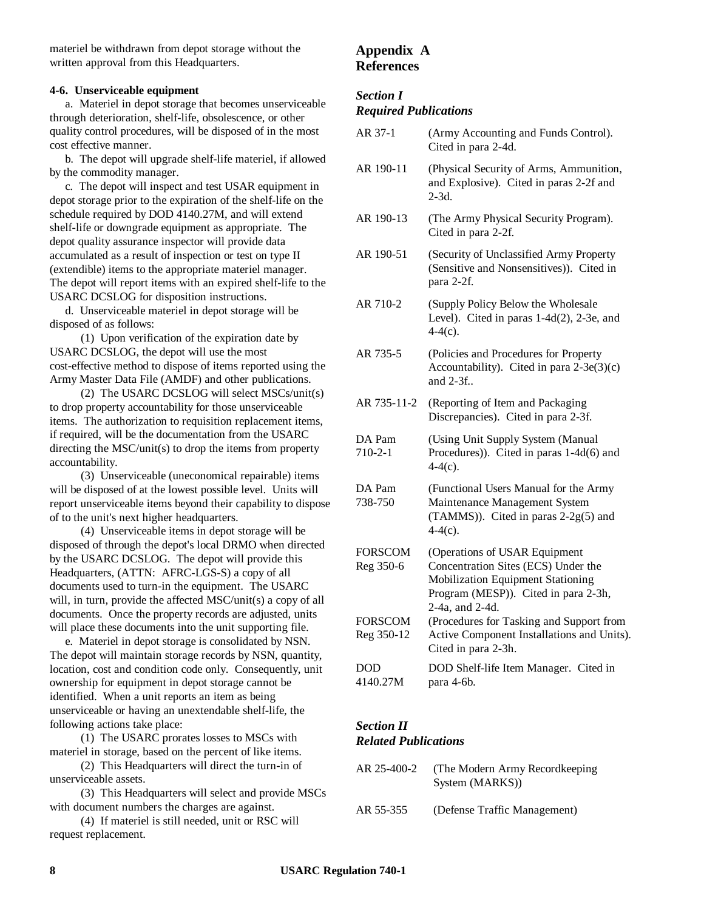materiel be withdrawn from depot storage without the written approval from this Headquarters.

### **4-6. Unserviceable equipment**

a. Materiel in depot storage that becomes unserviceable through deterioration, shelf-life, obsolescence, or other quality control procedures, will be disposed of in the most cost effective manner.

b. The depot will upgrade shelf-life materiel, if allowed by the commodity manager.

c. The depot will inspect and test USAR equipment in depot storage prior to the expiration of the shelf-life on the schedule required by DOD 4140.27M, and will extend shelf-life or downgrade equipment as appropriate. The depot quality assurance inspector will provide data accumulated as a result of inspection or test on type II (extendible) items to the appropriate materiel manager. The depot will report items with an expired shelf-life to the USARC DCSLOG for disposition instructions.

d. Unserviceable materiel in depot storage will be disposed of as follows:

(1) Upon verification of the expiration date by USARC DCSLOG, the depot will use the most cost-effective method to dispose of items reported using the Army Master Data File (AMDF) and other publications.

(2) The USARC DCSLOG will select MSCs/unit(s) to drop property accountability for those unserviceable items. The authorization to requisition replacement items, if required, will be the documentation from the USARC directing the MSC/unit(s) to drop the items from property accountability.

(3) Unserviceable (uneconomical repairable) items will be disposed of at the lowest possible level. Units will report unserviceable items beyond their capability to dispose of to the unit's next higher headquarters.

(4) Unserviceable items in depot storage will be disposed of through the depot's local DRMO when directed by the USARC DCSLOG. The depot will provide this Headquarters, (ATTN: AFRC-LGS-S) a copy of all documents used to turn-in the equipment. The USARC will, in turn, provide the affected MSC/unit(s) a copy of all documents. Once the property records are adjusted, units will place these documents into the unit supporting file.

e. Materiel in depot storage is consolidated by NSN. The depot will maintain storage records by NSN, quantity, location, cost and condition code only. Consequently, unit ownership for equipment in depot storage cannot be identified. When a unit reports an item as being unserviceable or having an unextendable shelf-life, the following actions take place:

(1) The USARC prorates losses to MSCs with materiel in storage, based on the percent of like items.

(2) This Headquarters will direct the turn-in of unserviceable assets.

(3) This Headquarters will select and provide MSCs with document numbers the charges are against.

(4) If materiel is still needed, unit or RSC will request replacement.

# **Appendix A References**

## *Section I*

## *Required Publications*

| AR 37-1                      | (Army Accounting and Funds Control).<br>Cited in para 2-4d.                                                                                                          |
|------------------------------|----------------------------------------------------------------------------------------------------------------------------------------------------------------------|
| AR 190-11                    | (Physical Security of Arms, Ammunition,<br>and Explosive). Cited in paras 2-2f and<br>$2-3d.$                                                                        |
| AR 190-13                    | (The Army Physical Security Program).<br>Cited in para 2-2f.                                                                                                         |
| AR 190-51                    | (Security of Unclassified Army Property<br>(Sensitive and Nonsensitives)). Cited in<br>para 2-2f.                                                                    |
| AR 710-2                     | (Supply Policy Below the Wholesale<br>Level). Cited in paras $1-4d(2)$ , 2-3e, and<br>$4-4(c)$ .                                                                     |
| AR 735-5                     | (Policies and Procedures for Property<br>Accountability). Cited in para $2-3e(3)(c)$<br>and $2-3f$ .                                                                 |
| AR 735-11-2                  | (Reporting of Item and Packaging<br>Discrepancies). Cited in para 2-3f.                                                                                              |
| DA Pam<br>$710 - 2 - 1$      | (Using Unit Supply System (Manual<br>Procedures)). Cited in paras $1-4d(6)$ and<br>$4-4(c)$ .                                                                        |
| DA Pam<br>738-750            | (Functional Users Manual for the Army<br>Maintenance Management System<br>(TAMMS)). Cited in paras 2-2g(5) and<br>$4-4(c)$ .                                         |
| <b>FORSCOM</b><br>Reg 350-6  | (Operations of USAR Equipment<br>Concentration Sites (ECS) Under the<br>Mobilization Equipment Stationing<br>Program (MESP)). Cited in para 2-3h,<br>2-4a, and 2-4d. |
| <b>FORSCOM</b><br>Reg 350-12 | (Procedures for Tasking and Support from<br>Active Component Installations and Units).<br>Cited in para 2-3h.                                                        |
| <b>DOD</b><br>4140.27M       | DOD Shelf-life Item Manager. Cited in<br>para 4-6b.                                                                                                                  |

### *Section II Related Publications*

| AR 25-400-2 | (The Modern Army Record keeping)<br>System (MARKS)) |
|-------------|-----------------------------------------------------|
| AR 55-355   | (Defense Traffic Management)                        |